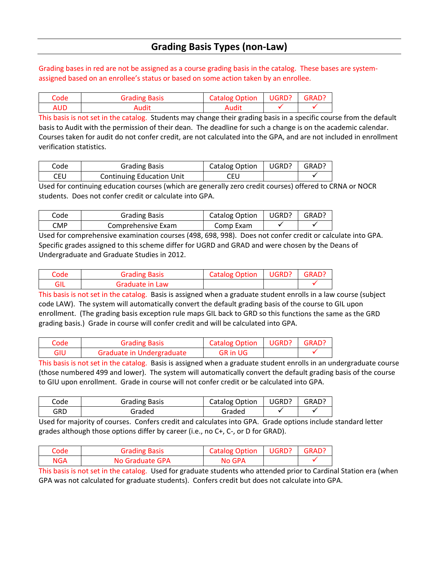## **Grading Basis Types (non‐Law)**

Grading bases in red are not be assigned as a course grading basis in the catalog. These bases are system‐ assigned based on an enrollee's status or based on some action taken by an enrollee.

| Code | <b>Grading Basis</b> | <b>Catalog Option</b> | UGRD? | GRAD? |
|------|----------------------|-----------------------|-------|-------|
| AUD  | Audit                | Audit                 |       |       |

This basis is not set in the catalog. Students may change their grading basis in a specific course from the default basis to Audit with the permission of their dean. The deadline for such a change is on the academic calendar. Courses taken for audit do not confer credit, are not calculated into the GPA, and are not included in enrollment verification statistics.

| Code | <b>Grading Basis</b>             | Catalog Option | UGRD? | GRAD? |
|------|----------------------------------|----------------|-------|-------|
| CEU  | <b>Continuing Education Unit</b> | CEU            |       |       |

Used for continuing education courses (which are generally zero credit courses) offered to CRNA or NOCR students. Does not confer credit or calculate into GPA.

| Code | <b>Grading Basis</b> | <b>Catalog Option</b> | UGRD? | <b>GRAD</b> |
|------|----------------------|-----------------------|-------|-------------|
| CMP  | Comprehensive Exam   | Comp Exam             |       |             |

Used for comprehensive examination courses (498, 698, 998). Does not confer credit or calculate into GPA. Specific grades assigned to this scheme differ for UGRD and GRAD and were chosen by the Deans of Undergraduate and Graduate Studies in 2012.

| Code | <b>Grading Basis</b> | Catalog Option   UGRD?   GRAD? |  |
|------|----------------------|--------------------------------|--|
|      | Graduate in Law      |                                |  |

This basis is not set in the catalog. Basis is assigned when a graduate student enrolls in a law course (subject code LAW). The system will automatically convert the default grading basis of the course to GIL upon enrollment. (The grading basis exception rule maps GIL back to GRD so this functions the same as the GRD grading basis.) Grade in course will confer credit and will be calculated into GPA.

| Code | <b>Grading Basis</b>      | Catalog Option   UGRD?   GRAD? |  |
|------|---------------------------|--------------------------------|--|
| GIU  | Graduate in Undergraduate | <b>GR</b> in UG                |  |

This basis is not set in the catalog. Basis is assigned when a graduate student enrolls in an undergraduate course (those numbered 499 and lower). The system will automatically convert the default grading basis of the course to GIU upon enrollment. Grade in course will not confer credit or be calculated into GPA.

| code | <b>Grading Basis</b> | Catalog Option | UGRD? | GRAD? |
|------|----------------------|----------------|-------|-------|
| GRD  | Graded               | Graded         |       |       |

Used for majority of courses. Confers credit and calculates into GPA. Grade options include standard letter grades although those options differ by career (i.e., no C+, C‐, or D for GRAD).

| Code | Grading Basis   | <b>Catalog Option</b> | UGRD? | GRAD? |
|------|-----------------|-----------------------|-------|-------|
| NGA  | No Graduate GPA | No GPA                |       |       |

This basis is not set in the catalog. Used for graduate students who attended prior to Cardinal Station era (when GPA was not calculated for graduate students). Confers credit but does not calculate into GPA.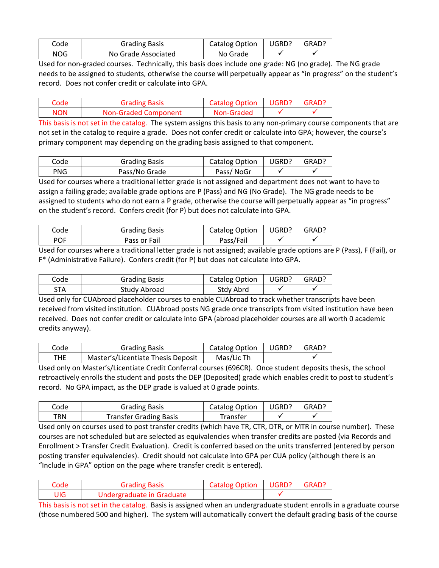| Code | <b>Grading Basis</b> | Catalog Option | UGRD? | GRAD? |
|------|----------------------|----------------|-------|-------|
| NOG  | No Grade Associated  | No Grade       |       |       |

Used for non‐graded courses. Technically, this basis does include one grade: NG (no grade). The NG grade needs to be assigned to students, otherwise the course will perpetually appear as "in progress" on the student's record. Does not confer credit or calculate into GPA.

| Code       | <b>Grading Basis</b>        | Catalog Option   UGRD?   GRAD? |  |
|------------|-----------------------------|--------------------------------|--|
| <b>NON</b> | <b>Non-Graded Component</b> | Non-Graded                     |  |

This basis is not set in the catalog. The system assigns this basis to any non‐primary course components that are not set in the catalog to require a grade. Does not confer credit or calculate into GPA; however, the course's primary component may depending on the grading basis assigned to that component.

| Code       | <b>Grading Basis</b> | <b>Catalog Option</b> | UGRD? | GRAD? |
|------------|----------------------|-----------------------|-------|-------|
| <b>PNG</b> | Pass/No Grade        | Pass/NoGr             |       |       |

Used for courses where a traditional letter grade is not assigned and department does not want to have to assign a failing grade; available grade options are P (Pass) and NG (No Grade). The NG grade needs to be assigned to students who do not earn a P grade, otherwise the course will perpetually appear as "in progress" on the student's record. Confers credit (for P) but does not calculate into GPA.

| Code       | <b>Grading Basis</b> | Catalog Option | UGRD? | GRAD? |
|------------|----------------------|----------------|-------|-------|
| <b>POF</b> | Pass or Fail         | Pass/Fail      |       |       |

Used for courses where a traditional letter grade is not assigned; available grade options are P (Pass), F (Fail), or F\* (Administrative Failure). Confers credit (for P) but does not calculate into GPA.

| Code | <b>Grading Basis</b> | Catalog Option | UGRD? | GRAD? |
|------|----------------------|----------------|-------|-------|
| STA  | Study Abroad         | Stdy Abrd      |       |       |

Used only for CUAbroad placeholder courses to enable CUAbroad to track whether transcripts have been received from visited institution. CUAbroad posts NG grade once transcripts from visited institution have been received. Does not confer credit or calculate into GPA (abroad placeholder courses are all worth 0 academic credits anyway).

| Code | <b>Grading Basis</b>               | <b>Catalog Option</b> | UGRD? | GRAD? |
|------|------------------------------------|-----------------------|-------|-------|
| THE. | Master's/Licentiate Thesis Deposit | Mas/Lic Th            |       |       |

Used only on Master's/Licentiate Credit Conferral courses (696CR). Once student deposits thesis, the school retroactively enrolls the student and posts the DEP (Deposited) grade which enables credit to post to student's record. No GPA impact, as the DEP grade is valued at 0 grade points.

| Code | <b>Grading Basis</b>          | Catalog Option | UGRD? | GRAD? |
|------|-------------------------------|----------------|-------|-------|
| TRN  | <b>Transfer Grading Basis</b> | Transfer       |       |       |

Used only on courses used to post transfer credits (which have TR, CTR, DTR, or MTR in course number). These courses are not scheduled but are selected as equivalencies when transfer credits are posted (via Records and Enrollment > Transfer Credit Evaluation). Credit is conferred based on the units transferred (entered by person posting transfer equivalencies). Credit should not calculate into GPA per CUA policy (although there is an "Include in GPA" option on the page where transfer credit is entered).

| Code | <b>Grading Basis</b>      | <b>Catalog Option   UGRD?</b> | l GRAD? |
|------|---------------------------|-------------------------------|---------|
| UIG  | Undergraduate in Graduate |                               |         |

This basis is not set in the catalog. Basis is assigned when an undergraduate student enrolls in a graduate course (those numbered 500 and higher). The system will automatically convert the default grading basis of the course